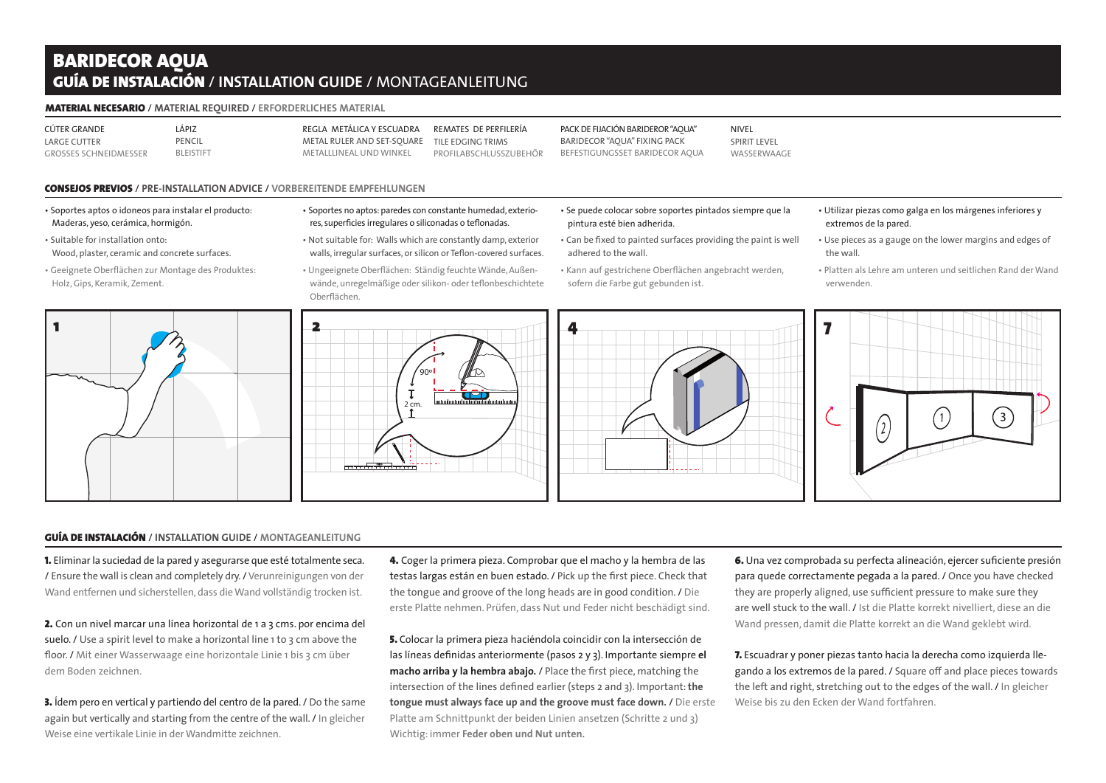# BARIDECOR AQUA GUÍA DE Instalación / **Installation GUIDE** / Montageanleitung

#### Material necesario / **Material required** / **Erforderliches Material**

CÚTER GRANDE Large cutter GroSSes Schneidmesser Lápiz PFNCII **BLEISTIET**  Metalllineal und Winkel

Regla metálica y Escuadra Metal ruler and set-square Remates de perfilería Tile edging trims Profilabschlusszubehör Pack de fijación BARIDEROR "AQUA" BARIDECOR "AQUA" fixing pack Befestigungsset BARIDECOR AQUA

NIVEL **SPIRIT LEVEL** WASSERWAAGE

## Consejos PREVIOS / **PRE-INSTALLATION ADVICE** / **Vorbereitende Empfehlungen**

- Soportes aptos o idoneos para instalar el producto: Maderas, yeso, cerámica, hormigón.
- Suitable for installation onto: Wood, plaster, ceramic and concrete surfaces.
- Geeignete Oberflächen zur Montage des Produktes: Holz, Gips, Keramik, Zement.



- Soportes no aptos: paredes con constante humedad, exteriores, superficies irregulares o siliconadas o teflonadas.
- Not suitable for: Walls which are constantly damp, exterior walls, irregular surfaces, or silicon or Teflon-covered surfaces.
- Ungeeignete Oberflächen: Ständig feuchte Wände, Außenwände, unregelmäßige oder silikon- oder teflonbeschichtete Oberflächen.

 $\gamma_{90^\circ}$ 

n

2 cm.

 $\mathbf{T}$ 

- Se puede colocar sobre soportes pintados siempre que la pintura esté bien adherida.
- Can be fixed to painted surfaces providing the paint is well adhered to the wall.
- Kann auf gestrichene Oberflächen angebracht werden, sofern die Farbe gut gebunden ist.



#### • Utilizar piezas como galga en los márgenes inferiores y extremos de la pared.

- Use pieces as a gauge on the lower margins and edges of the wall.
- Platten als Lehre am unteren und seitlichen Rand der Wand verwenden.



## GUÍA DE Instalación / **Installation GUIDE** / **Montageanleitung**

1. Eliminar la suciedad de la pared y asegurarse que esté totalmente seca. / Ensure the wall is clean and completely dry. / Verunreinigungen von der Wand entfernen und sicherstellen, dass die Wand vollständig trocken ist.

2. Con un nivel marcar una línea horizontal de 1 a 3 cms. por encima del suelo. / Use a spirit level to make a horizontal line 1 to 3 cm above the floor. / Mit einer Wasserwaage eine horizontale Linie 1 bis 3 cm über dem Boden zeichnen.

3. Ídem pero en vertical y partiendo del centro de la pared. / Do the same again but vertically and starting from the centre of the wall. / In gleicher Weise eine vertikale Linie in der Wandmitte zeichnen.

4. Coger la primera pieza. Comprobar que el macho y la hembra de las testas largas están en buen estado. / Pick up the first piece. Check that the tongue and groove of the long heads are in good condition. / Die erste Platte nehmen. Prüfen, dass Nut und Feder nicht beschädigt sind.

5. Colocar la primera pieza haciéndola coincidir con la intersección de las líneas definidas anteriormente (pasos 2 y 3). Importante siempre **el macho arriba y la hembra abajo.** / Place the first piece, matching the intersection of the lines defined earlier (steps 2 and 3). Important: **the tongue must always face up and the groove must face down.** / Die erste Platte am Schnittpunkt der beiden Linien ansetzen (Schritte 2 und 3) Wichtig: immer **Feder oben und Nut unten.**

6. Una vez comprobada su perfecta alineación, ejercer suficiente presión para quede correctamente pegada a la pared. / Once you have checked they are properly aligned, use sufficient pressure to make sure they are well stuck to the wall. / Ist die Platte korrekt nivelliert, diese an die Wand pressen, damit die Platte korrekt an die Wand geklebt wird.

7. Escuadrar y poner piezas tanto hacia la derecha como izquierda llegando a los extremos de la pared. / Square off and place pieces towards the left and right, stretching out to the edges of the wall. / In gleicher Weise bis zu den Ecken der Wand fortfahren.